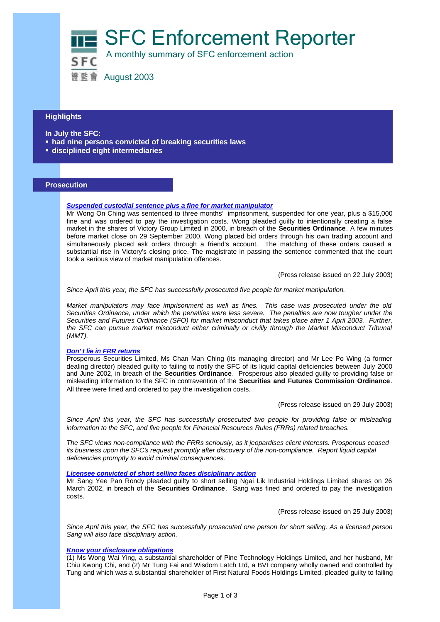SFC Enforcement Reporter



證監會 August 2003

# **Highlights**

**In July the SFC:**

- **had nine persons convicted of breaking securities laws**
- **Example 1** disciplined eight intermediaries

#### **Prosecution**

## *Suspended custodial sentence plus a fine for market manipulator*

Mr Wong On Ching was sentenced to three months' imprisonment, suspended for one year, plus a \$15,000 fine and was ordered to pay the investigation costs. Wong pleaded guilty to intentionally creating a false market in the shares of Victory Group Limited in 2000, in breach of the **Securities Ordinance**. A few minutes before market close on 29 September 2000, Wong placed bid orders through his own trading account and simultaneously placed ask orders through a friend's account. The matching of these orders caused a substantial rise in Victory's closing price. The magistrate in passing the sentence commented that the court took a serious view of market manipulation offences.

(Press release issued on 22 July 2003)

*Since April this year, the SFC has successfully prosecuted five people for market manipulation.*

*Market manipulators may face imprisonment as well as fines. This case was prosecuted under the old Securities Ordinance, under which the penalties were less severe. The penalties are now tougher under the Securities and Futures Ordinance (SFO) for market misconduct that takes place after 1 April 2003. Further, the SFC can pursue market misconduct either criminally or civilly through the Market Misconduct Tribunal (MMT).*

## *Don't lie in FRR returns*

Prosperous Securities Limited, Ms Chan Man Ching (its managing director) and Mr Lee Po Wing (a former dealing director) pleaded guilty to failing to notify the SFC of its liquid capital deficiencies between July 2000 and June 2002, in breach of the **Securities Ordinance**. Prosperous also pleaded guilty to providing false or misleading information to the SFC in contravention of the **Securities and Futures Commission Ordinance**. All three were fined and ordered to pay the investigation costs.

(Press release issued on 29 July 2003)

Since April this year, the SFC has successfully prosecuted two people for providing false or misleading *information to the SFC, and five people for Financial Resources Rules (FRRs) related breaches.*

*The SFC views non-compliance with the FRRs seriously, as it jeopardises client interests. Prosperous ceased its business upon the SFC's request promptly after discovery of the non-compliance. Report liquid capital deficiencies promptly to avoid criminal consequences.*

#### *Licensee convicted of short selling faces disciplinary action*

Mr Sang Yee Pan Rondy pleaded guilty to short selling Ngai Lik Industrial Holdings Limited shares on 26 March 2002, in breach of the **Securities Ordinance**. Sang was fined and ordered to pay the investigation costs.

(Press release issued on 25 July 2003)

*Since April this year, the SFC has successfully prosecuted one person for short selling. As a licensed person Sang will also face disciplinary action.*

## *Know your disclosure obligations*

(1) Ms Wong Wai Ying, a substantial shareholder of Pine Technology Holdings Limited, and her husband, Mr Chiu Kwong Chi, and (2) Mr Tung Fai and Wisdom Latch Ltd, a BVI company wholly owned and controlled by Tung and which was a substantial shareholder of First Natural Foods Holdings Limited, pleaded guilty to failing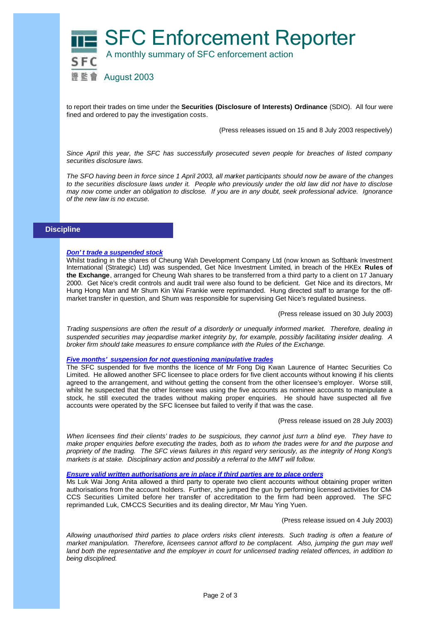

to report their trades on time under the **Securities (Disclosure of Interests) Ordinance** (SDIO). All four were fined and ordered to pay the investigation costs.

(Press releases issued on 15 and 8 July 2003 respectively)

*Since April this year, the SFC has successfully prosecuted seven people for breaches of listed company securities disclosure laws.*

*The SFO having been in force since 1 April 2003, all market participants should now be aware of the changes to the securities disclosure laws under it. People who previously under the old law did not have to disclose may now come under an obligation to disclose. If you are in any doubt, seek professional advice. Ignorance of the new law is no excuse.*

## **Discipline**

#### *Don't trade a suspended stock*

Whilst trading in the shares of Cheung Wah Development Company Ltd (now known as Softbank Investment International (Strategic) Ltd) was suspended, Get Nice Investment Limited, in breach of the HKEx **Rules of the Exchange**, arranged for Cheung Wah shares to be transferred from a third party to a client on 17 January 2000. Get Nice's credit controls and audit trail were also found to be deficient. Get Nice and its directors, Mr Hung Hong Man and Mr Shum Kin Wai Frankie were reprimanded. Hung directed staff to arrange for the offmarket transfer in question, and Shum was responsible for supervising Get Nice's regulated business.

(Press release issued on 30 July 2003)

*Trading suspensions are often the result of a disorderly or unequally informed market. Therefore, dealing in suspended securities may jeopardise market integrity by, for example, possibly facilitating insider dealing. A broker firm should take measures to ensure compliance with the Rules of the Exchange.*

## *Five months' suspension for not questioning manipulative trades*

The SFC suspended for five months the licence of Mr Fong Dig Kwan Laurence of Hantec Securities Co Limited. He allowed another SFC licensee to place orders for five client accounts without knowing if his clients agreed to the arrangement, and without getting the consent from the other licensee's employer. Worse still, whilst he suspected that the other licensee was using the five accounts as nominee accounts to manipulate a stock, he still executed the trades without making proper enquiries. He should have suspected all five accounts were operated by the SFC licensee but failed to verify if that was the case.

(Press release issued on 28 July 2003)

*When licensees find their clients' trades to be suspicious, they cannot just turn a blind eye. They have to make proper enquiries before executing the trades, both as to whom the trades were for and the purpose and propriety of the trading. The SFC views failures in this regard very seriously, as the integrity of Hong Kong's markets is at stake. Disciplinary action and possibly a referral to the MMT will follow.* 

## *Ensure valid written authorisations are in place if third parties are to place orders*

Ms Luk Wai Jong Anita allowed a third party to operate two client accounts without obtaining proper written authorisations from the account holders. Further, she jumped the gun by performing licensed activities for CM-CCS Securities Limited before her transfer of accreditation to the firm had been approved. The SFC reprimanded Luk, CM-CCS Securities and its dealing director, Mr Mau Ying Yuen.

(Press release issued on 4 July 2003)

*Allowing unauthorised third parties to place orders risks client interests. Such trading is often a feature of market manipulation. Therefore, licensees cannot afford to be complacent. Also, jumping the gun may well* land both the representative and the employer in court for unlicensed trading related offences, in addition to *being disciplined.*